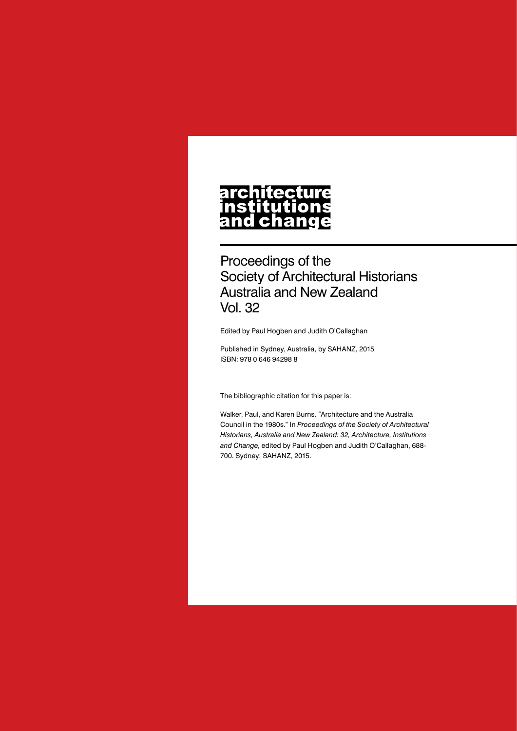# **architecture** nstitutions<br>nstitutions<br>and change

Proceedings of the Society of Architectural Historians Australia and New Zealand Vol. 32

Edited by Paul Hogben and Judith O'Callaghan

Published in Sydney, Australia, by SAHANZ, 2015 ISBN: 978 0 646 94298 8

The bibliographic citation for this paper is:

Walker, Paul, and Karen Burns. "Architecture and the Australia Council in the 1980s." In *Proceedings of the Society of Architectural Historians, Australia and New Zealand: 32, Architecture, Institutions and Change*, edited by Paul Hogben and Judith O'Callaghan, 688- 700. Sydney: SAHANZ, 2015.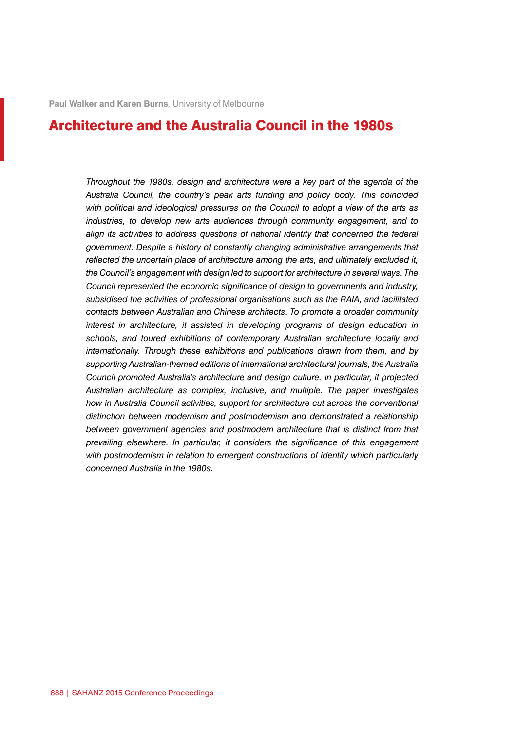## Architecture and the Australia Council in the 1980s

*Throughout the 1980s, design and architecture were a key part of the agenda of the Australia Council, the country's peak arts funding and policy body. This coincided with political and ideological pressures on the Council to adopt a view of the arts as industries, to develop new arts audiences through community engagement, and to align its activities to address questions of national identity that concerned the federal government. Despite a history of constantly changing administrative arrangements that reflected the uncertain place of architecture among the arts, and ultimately excluded it, the Council's engagement with design led to support for architecture in several ways. The Council represented the economic significance of design to governments and industry, subsidised the activities of professional organisations such as the RAIA, and facilitated contacts between Australian and Chinese architects. To promote a broader community interest in architecture, it assisted in developing programs of design education in schools, and toured exhibitions of contemporary Australian architecture locally and internationally. Through these exhibitions and publications drawn from them, and by supporting Australian-themed editions of international architectural journals, the Australia Council promoted Australia's architecture and design culture. In particular, it projected Australian architecture as complex, inclusive, and multiple. The paper investigates how in Australia Council activities, support for architecture cut across the conventional distinction between modernism and postmodernism and demonstrated a relationship between government agencies and postmodern architecture that is distinct from that prevailing elsewhere. In particular, it considers the significance of this engagement with postmodernism in relation to emergent constructions of identity which particularly concerned Australia in the 1980s.*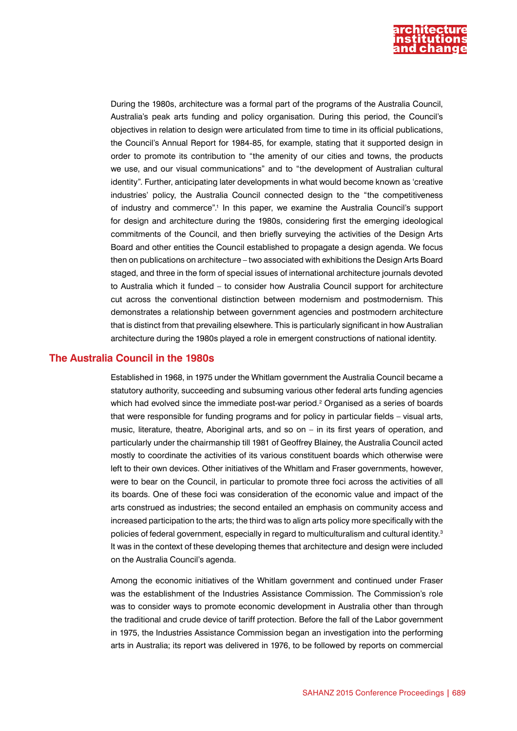

During the 1980s, architecture was a formal part of the programs of the Australia Council, Australia's peak arts funding and policy organisation. During this period, the Council's objectives in relation to design were articulated from time to time in its official publications, the Council's Annual Report for 1984-85, for example, stating that it supported design in order to promote its contribution to "the amenity of our cities and towns, the products we use, and our visual communications" and to "the development of Australian cultural identity". Further, anticipating later developments in what would become known as 'creative industries' policy, the Australia Council connected design to the "the competitiveness of industry and commerce".<sup>1</sup> In this paper, we examine the Australia Council's support for design and architecture during the 1980s, considering first the emerging ideological commitments of the Council, and then briefly surveying the activities of the Design Arts Board and other entities the Council established to propagate a design agenda. We focus then on publications on architecture – two associated with exhibitions the Design Arts Board staged, and three in the form of special issues of international architecture journals devoted to Australia which it funded – to consider how Australia Council support for architecture cut across the conventional distinction between modernism and postmodernism. This demonstrates a relationship between government agencies and postmodern architecture that is distinct from that prevailing elsewhere. This is particularly significant in how Australian architecture during the 1980s played a role in emergent constructions of national identity.

#### **The Australia Council in the 1980s**

Established in 1968, in 1975 under the Whitlam government the Australia Council became a statutory authority, succeeding and subsuming various other federal arts funding agencies which had evolved since the immediate post-war period.<sup>2</sup> Organised as a series of boards that were responsible for funding programs and for policy in particular fields – visual arts, music, literature, theatre, Aboriginal arts, and so on – in its first years of operation, and particularly under the chairmanship till 1981 of Geoffrey Blainey, the Australia Council acted mostly to coordinate the activities of its various constituent boards which otherwise were left to their own devices. Other initiatives of the Whitlam and Fraser governments, however, were to bear on the Council, in particular to promote three foci across the activities of all its boards. One of these foci was consideration of the economic value and impact of the arts construed as industries; the second entailed an emphasis on community access and increased participation to the arts; the third was to align arts policy more specifically with the policies of federal government, especially in regard to multiculturalism and cultural identity.<sup>3</sup> It was in the context of these developing themes that architecture and design were included on the Australia Council's agenda.

Among the economic initiatives of the Whitlam government and continued under Fraser was the establishment of the Industries Assistance Commission. The Commission's role was to consider ways to promote economic development in Australia other than through the traditional and crude device of tariff protection. Before the fall of the Labor government in 1975, the Industries Assistance Commission began an investigation into the performing arts in Australia; its report was delivered in 1976, to be followed by reports on commercial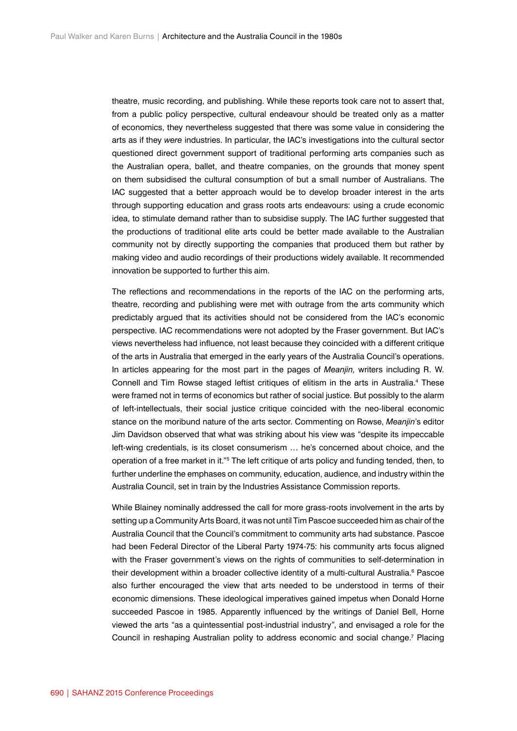theatre, music recording, and publishing. While these reports took care not to assert that, from a public policy perspective, cultural endeavour should be treated only as a matter of economics, they nevertheless suggested that there was some value in considering the arts as if they *were* industries. In particular, the IAC's investigations into the cultural sector questioned direct government support of traditional performing arts companies such as the Australian opera, ballet, and theatre companies, on the grounds that money spent on them subsidised the cultural consumption of but a small number of Australians. The IAC suggested that a better approach would be to develop broader interest in the arts through supporting education and grass roots arts endeavours: using a crude economic idea, to stimulate demand rather than to subsidise supply. The IAC further suggested that the productions of traditional elite arts could be better made available to the Australian community not by directly supporting the companies that produced them but rather by making video and audio recordings of their productions widely available. It recommended innovation be supported to further this aim.

The reflections and recommendations in the reports of the IAC on the performing arts, theatre, recording and publishing were met with outrage from the arts community which predictably argued that its activities should not be considered from the IAC's economic perspective. IAC recommendations were not adopted by the Fraser government. But IAC's views nevertheless had influence, not least because they coincided with a different critique of the arts in Australia that emerged in the early years of the Australia Council's operations. In articles appearing for the most part in the pages of *Meanjin*, writers including R. W. Connell and Tim Rowse staged leftist critiques of elitism in the arts in Australia.<sup>4</sup> These were framed not in terms of economics but rather of social justice. But possibly to the alarm of left-intellectuals, their social justice critique coincided with the neo-liberal economic stance on the moribund nature of the arts sector. Commenting on Rowse, *Meanjin*'s editor Jim Davidson observed that what was striking about his view was "despite its impeccable left-wing credentials, is its closet consumerism … he's concerned about choice, and the operation of a free market in it."<sup>5</sup> The left critique of arts policy and funding tended, then, to further underline the emphases on community, education, audience, and industry within the Australia Council, set in train by the Industries Assistance Commission reports.

While Blainey nominally addressed the call for more grass-roots involvement in the arts by setting up a Community Arts Board, it was not until Tim Pascoe succeeded him as chair of the Australia Council that the Council's commitment to community arts had substance. Pascoe had been Federal Director of the Liberal Party 1974-75: his community arts focus aligned with the Fraser government's views on the rights of communities to self-determination in their development within a broader collective identity of a multi-cultural Australia.<sup>6</sup> Pascoe also further encouraged the view that arts needed to be understood in terms of their economic dimensions. These ideological imperatives gained impetus when Donald Horne succeeded Pascoe in 1985. Apparently influenced by the writings of Daniel Bell, Horne viewed the arts "as a quintessential post-industrial industry", and envisaged a role for the Council in reshaping Australian polity to address economic and social change.<sup>7</sup> Placing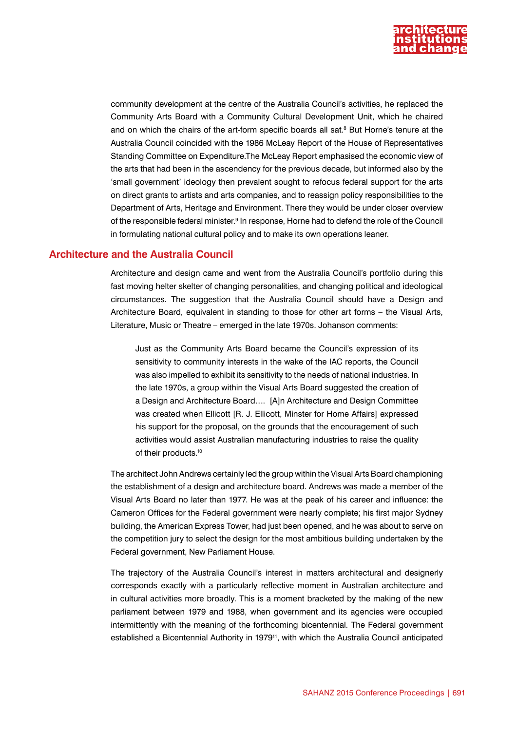

community development at the centre of the Australia Council's activities, he replaced the Community Arts Board with a Community Cultural Development Unit, which he chaired and on which the chairs of the art-form specific boards all sat.<sup>8</sup> But Horne's tenure at the Australia Council coincided with the 1986 McLeay Report of the House of Representatives Standing Committee on Expenditure.The McLeay Report emphasised the economic view of the arts that had been in the ascendency for the previous decade, but informed also by the 'small government' ideology then prevalent sought to refocus federal support for the arts on direct grants to artists and arts companies, and to reassign policy responsibilities to the Department of Arts, Heritage and Environment. There they would be under closer overview of the responsible federal minister.<sup>9</sup> In response, Horne had to defend the role of the Council in formulating national cultural policy and to make its own operations leaner.

#### **Architecture and the Australia Council**

Architecture and design came and went from the Australia Council's portfolio during this fast moving helter skelter of changing personalities, and changing political and ideological circumstances. The suggestion that the Australia Council should have a Design and Architecture Board, equivalent in standing to those for other art forms – the Visual Arts, Literature, Music or Theatre – emerged in the late 1970s. Johanson comments:

Just as the Community Arts Board became the Council's expression of its sensitivity to community interests in the wake of the IAC reports, the Council was also impelled to exhibit its sensitivity to the needs of national industries. In the late 1970s, a group within the Visual Arts Board suggested the creation of a Design and Architecture Board…. [A]n Architecture and Design Committee was created when Ellicott [R. J. Ellicott, Minster for Home Affairs] expressed his support for the proposal, on the grounds that the encouragement of such activities would assist Australian manufacturing industries to raise the quality of their products.<sup>10</sup>

The architect John Andrews certainly led the group within the Visual Arts Board championing the establishment of a design and architecture board. Andrews was made a member of the Visual Arts Board no later than 1977. He was at the peak of his career and influence: the Cameron Offices for the Federal government were nearly complete; his first major Sydney building, the American Express Tower, had just been opened, and he was about to serve on the competition jury to select the design for the most ambitious building undertaken by the Federal government, New Parliament House.

The trajectory of the Australia Council's interest in matters architectural and designerly corresponds exactly with a particularly reflective moment in Australian architecture and in cultural activities more broadly. This is a moment bracketed by the making of the new parliament between 1979 and 1988, when government and its agencies were occupied intermittently with the meaning of the forthcoming bicentennial. The Federal government established a Bicentennial Authority in 1979<sup>11</sup>, with which the Australia Council anticipated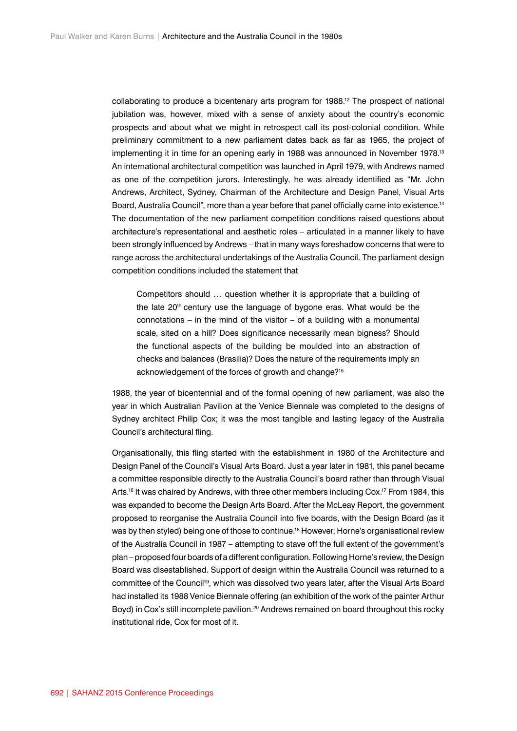collaborating to produce a bicentenary arts program for 1988.12 The prospect of national jubilation was, however, mixed with a sense of anxiety about the country's economic prospects and about what we might in retrospect call its post-colonial condition. While preliminary commitment to a new parliament dates back as far as 1965, the project of implementing it in time for an opening early in 1988 was announced in November 1978.13 An international architectural competition was launched in April 1979, with Andrews named as one of the competition jurors. Interestingly, he was already identified as "Mr. John Andrews, Architect, Sydney, Chairman of the Architecture and Design Panel, Visual Arts Board, Australia Council", more than a year before that panel officially came into existence.<sup>14</sup> The documentation of the new parliament competition conditions raised questions about architecture's representational and aesthetic roles – articulated in a manner likely to have been strongly influenced by Andrews – that in many ways foreshadow concerns that were to range across the architectural undertakings of the Australia Council. The parliament design competition conditions included the statement that

Competitors should … question whether it is appropriate that a building of the late 20<sup>th</sup> century use the language of bygone eras. What would be the connotations – in the mind of the visitor – of a building with a monumental scale, sited on a hill? Does significance necessarily mean bigness? Should the functional aspects of the building be moulded into an abstraction of checks and balances (Brasilia)? Does the nature of the requirements imply an acknowledgement of the forces of growth and change?15

1988, the year of bicentennial and of the formal opening of new parliament, was also the year in which Australian Pavilion at the Venice Biennale was completed to the designs of Sydney architect Philip Cox; it was the most tangible and lasting legacy of the Australia Council's architectural fling.

Organisationally, this fling started with the establishment in 1980 of the Architecture and Design Panel of the Council's Visual Arts Board. Just a year later in 1981, this panel became a committee responsible directly to the Australia Council's board rather than through Visual Arts.<sup>16</sup> It was chaired by Andrews, with three other members including Cox.<sup>17</sup> From 1984, this was expanded to become the Design Arts Board. After the McLeay Report, the government proposed to reorganise the Australia Council into five boards, with the Design Board (as it was by then styled) being one of those to continue.<sup>18</sup> However, Horne's organisational review of the Australia Council in 1987 – attempting to stave off the full extent of the government's plan – proposed four boards of a different configuration. Following Horne's review, the Design Board was disestablished. Support of design within the Australia Council was returned to a committee of the Council<sup>19</sup>, which was dissolved two years later, after the Visual Arts Board had installed its 1988 Venice Biennale offering (an exhibition of the work of the painter Arthur Boyd) in Cox's still incomplete pavilion.<sup>20</sup> Andrews remained on board throughout this rocky institutional ride, Cox for most of it.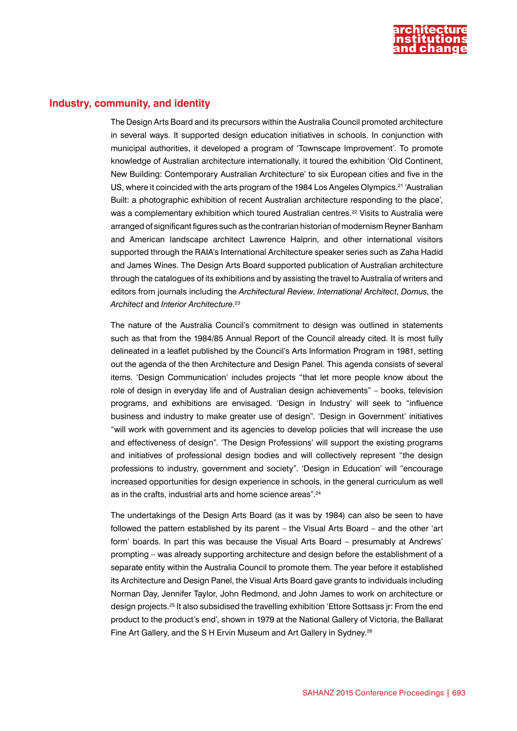

#### **Industry, community, and identity**

The Design Arts Board and its precursors within the Australia Council promoted architecture in several ways. It supported design education initiatives in schools. In conjunction with municipal authorities, it developed a program of 'Townscape Improvement'. To promote knowledge of Australian architecture internationally, it toured the exhibition 'Old Continent, New Building: Contemporary Australian Architecture' to six European cities and five in the US, where it coincided with the arts program of the 1984 Los Angeles Olympics.<sup>21</sup> 'Australian Built: a photographic exhibition of recent Australian architecture responding to the place', was a complementary exhibition which toured Australian centres.<sup>22</sup> Visits to Australia were arranged of significant figures such as the contrarian historian of modernism Reyner Banham and American landscape architect Lawrence Halprin, and other international visitors supported through the RAIA's International Architecture speaker series such as Zaha Hadid and James Wines. The Design Arts Board supported publication of Australian architecture through the catalogues of its exhibitions and by assisting the travel to Australia of writers and editors from journals including the *Architectural Review*, *International Architect*, *Domus*, the *Architect* and *Interior Architecture*. 23

The nature of the Australia Council's commitment to design was outlined in statements such as that from the 1984/85 Annual Report of the Council already cited. It is most fully delineated in a leaflet published by the Council's Arts Information Program in 1981, setting out the agenda of the then Architecture and Design Panel. This agenda consists of several items. 'Design Communication' includes projects "that let more people know about the role of design in everyday life and of Australian design achievements" – books, television programs, and exhibitions are envisaged. 'Design in Industry' will seek to "influence business and industry to make greater use of design". 'Design in Government' initiatives "will work with government and its agencies to develop policies that will increase the use and effectiveness of design". 'The Design Professions' will support the existing programs and initiatives of professional design bodies and will collectively represent "the design professions to industry, government and society". 'Design in Education' will "encourage increased opportunities for design experience in schools, in the general curriculum as well as in the crafts, industrial arts and home science areas".<sup>24</sup>

The undertakings of the Design Arts Board (as it was by 1984) can also be seen to have followed the pattern established by its parent – the Visual Arts Board – and the other 'art form' boards. In part this was because the Visual Arts Board – presumably at Andrews' prompting – was already supporting architecture and design before the establishment of a separate entity within the Australia Council to promote them. The year before it established its Architecture and Design Panel, the Visual Arts Board gave grants to individuals including Norman Day, Jennifer Taylor, John Redmond, and John James to work on architecture or design projects.25 It also subsidised the travelling exhibition 'Ettore Sottsass jr: From the end product to the product's end', shown in 1979 at the National Gallery of Victoria, the Ballarat Fine Art Gallery, and the S H Ervin Museum and Art Gallery in Sydney.<sup>26</sup>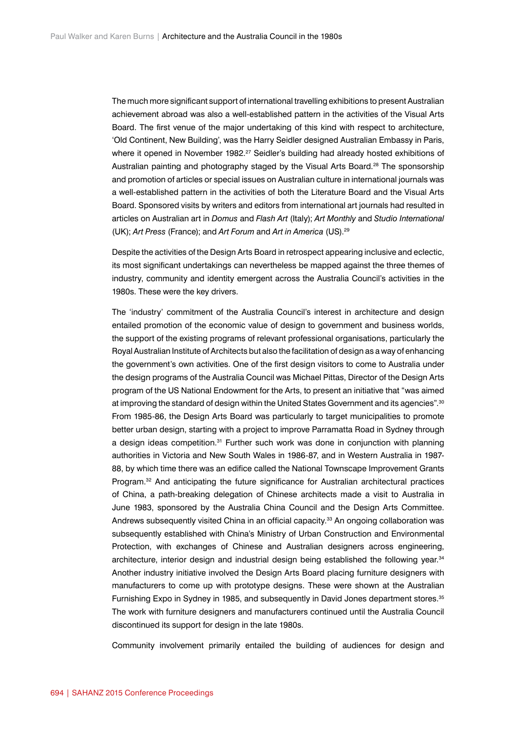The much more significant support of international travelling exhibitions to present Australian achievement abroad was also a well-established pattern in the activities of the Visual Arts Board. The first venue of the major undertaking of this kind with respect to architecture, 'Old Continent, New Building', was the Harry Seidler designed Australian Embassy in Paris, where it opened in November 1982.<sup>27</sup> Seidler's building had already hosted exhibitions of Australian painting and photography staged by the Visual Arts Board.<sup>28</sup> The sponsorship and promotion of articles or special issues on Australian culture in international journals was a well-established pattern in the activities of both the Literature Board and the Visual Arts Board. Sponsored visits by writers and editors from international art journals had resulted in articles on Australian art in *Domus* and *Flash Art* (Italy); *Art Monthly* and *Studio International* (UK); *Art Press* (France); and *Art Forum* and *Art in America* (US).29

Despite the activities of the Design Arts Board in retrospect appearing inclusive and eclectic, its most significant undertakings can nevertheless be mapped against the three themes of industry, community and identity emergent across the Australia Council's activities in the 1980s. These were the key drivers.

The 'industry' commitment of the Australia Council's interest in architecture and design entailed promotion of the economic value of design to government and business worlds, the support of the existing programs of relevant professional organisations, particularly the Royal Australian Institute of Architects but also the facilitation of design as a way of enhancing the government's own activities. One of the first design visitors to come to Australia under the design programs of the Australia Council was Michael Pittas, Director of the Design Arts program of the US National Endowment for the Arts, to present an initiative that "was aimed at improving the standard of design within the United States Government and its agencies".<sup>30</sup> From 1985-86, the Design Arts Board was particularly to target municipalities to promote better urban design, starting with a project to improve Parramatta Road in Sydney through a design ideas competition.<sup>31</sup> Further such work was done in conjunction with planning authorities in Victoria and New South Wales in 1986-87, and in Western Australia in 1987- 88, by which time there was an edifice called the National Townscape Improvement Grants Program.<sup>32</sup> And anticipating the future significance for Australian architectural practices of China, a path-breaking delegation of Chinese architects made a visit to Australia in June 1983, sponsored by the Australia China Council and the Design Arts Committee. Andrews subsequently visited China in an official capacity.<sup>33</sup> An ongoing collaboration was subsequently established with China's Ministry of Urban Construction and Environmental Protection, with exchanges of Chinese and Australian designers across engineering, architecture, interior design and industrial design being established the following year.<sup>34</sup> Another industry initiative involved the Design Arts Board placing furniture designers with manufacturers to come up with prototype designs. These were shown at the Australian Furnishing Expo in Sydney in 1985, and subsequently in David Jones department stores.<sup>35</sup> The work with furniture designers and manufacturers continued until the Australia Council discontinued its support for design in the late 1980s.

Community involvement primarily entailed the building of audiences for design and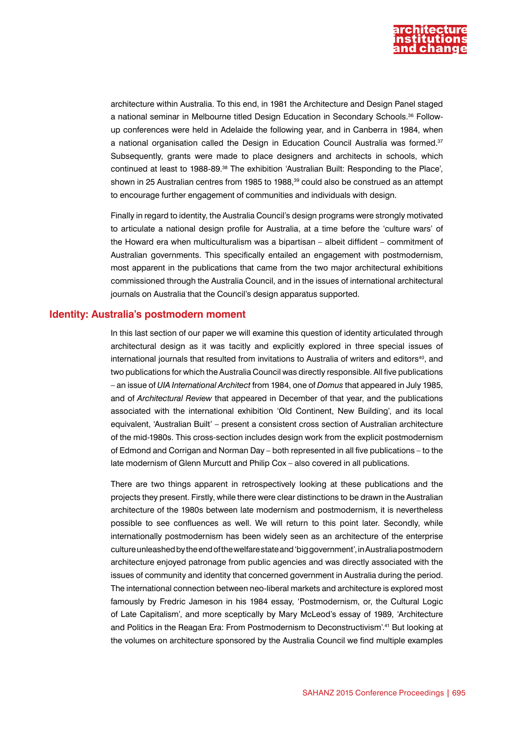

architecture within Australia. To this end, in 1981 the Architecture and Design Panel staged a national seminar in Melbourne titled Design Education in Secondary Schools.36 Followup conferences were held in Adelaide the following year, and in Canberra in 1984, when a national organisation called the Design in Education Council Australia was formed.37 Subsequently, grants were made to place designers and architects in schools, which continued at least to 1988-89.38 The exhibition 'Australian Built: Responding to the Place', shown in 25 Australian centres from 1985 to 1988,<sup>39</sup> could also be construed as an attempt to encourage further engagement of communities and individuals with design.

Finally in regard to identity, the Australia Council's design programs were strongly motivated to articulate a national design profile for Australia, at a time before the 'culture wars' of the Howard era when multiculturalism was a bipartisan – albeit diffident – commitment of Australian governments. This specifically entailed an engagement with postmodernism, most apparent in the publications that came from the two major architectural exhibitions commissioned through the Australia Council, and in the issues of international architectural journals on Australia that the Council's design apparatus supported.

#### **Identity: Australia's postmodern moment**

In this last section of our paper we will examine this question of identity articulated through architectural design as it was tacitly and explicitly explored in three special issues of international journals that resulted from invitations to Australia of writers and editors<sup>40</sup>, and two publications for which the Australia Council was directly responsible. All five publications – an issue of *UIA International Architect* from 1984, one of *Domus* that appeared in July 1985, and of *Architectural Review* that appeared in December of that year, and the publications associated with the international exhibition 'Old Continent, New Building', and its local equivalent, 'Australian Built' – present a consistent cross section of Australian architecture of the mid-1980s. This cross-section includes design work from the explicit postmodernism of Edmond and Corrigan and Norman Day – both represented in all five publications – to the late modernism of Glenn Murcutt and Philip Cox – also covered in all publications.

There are two things apparent in retrospectively looking at these publications and the projects they present. Firstly, while there were clear distinctions to be drawn in the Australian architecture of the 1980s between late modernism and postmodernism, it is nevertheless possible to see confluences as well. We will return to this point later. Secondly, while internationally postmodernism has been widely seen as an architecture of the enterprise culture unleashed by the end of the welfare state and 'big government', in Australia postmodern architecture enjoyed patronage from public agencies and was directly associated with the issues of community and identity that concerned government in Australia during the period. The international connection between neo-liberal markets and architecture is explored most famously by Fredric Jameson in his 1984 essay, 'Postmodernism, or, the Cultural Logic of Late Capitalism', and more sceptically by Mary McLeod's essay of 1989, 'Architecture and Politics in the Reagan Era: From Postmodernism to Deconstructivism'.<sup>41</sup> But looking at the volumes on architecture sponsored by the Australia Council we find multiple examples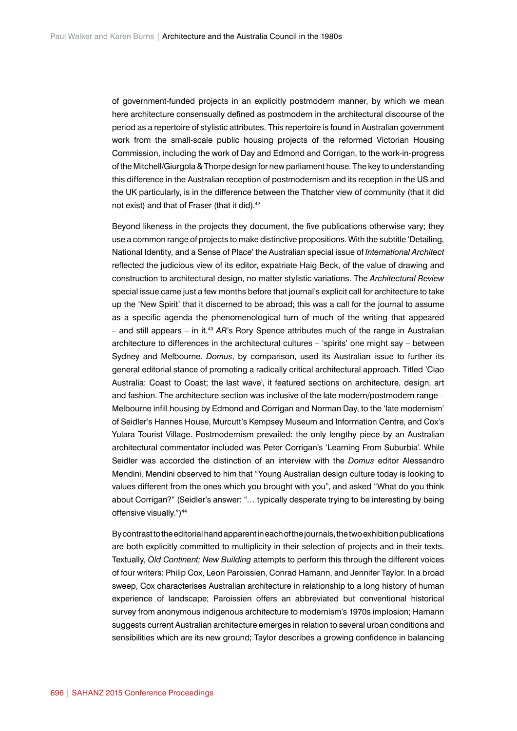of government-funded projects in an explicitly postmodern manner, by which we mean here architecture consensually defined as postmodern in the architectural discourse of the period as a repertoire of stylistic attributes. This repertoire is found in Australian government work from the small-scale public housing projects of the reformed Victorian Housing Commission, including the work of Day and Edmond and Corrigan, to the work-in-progress of the Mitchell/Giurgola & Thorpe design for new parliament house. The key to understanding this difference in the Australian reception of postmodernism and its reception in the US and the UK particularly, is in the difference between the Thatcher view of community (that it did not exist) and that of Fraser (that it did).<sup>42</sup>

Beyond likeness in the projects they document, the five publications otherwise vary; they use a common range of projects to make distinctive propositions. With the subtitle 'Detailing, National Identity, and a Sense of Place' the Australian special issue of *International Architect* reflected the judicious view of its editor, expatriate Haig Beck, of the value of drawing and construction to architectural design, no matter stylistic variations. The *Architectural Review* special issue came just a few months before that journal's explicit call for architecture to take up the 'New Spirit' that it discerned to be abroad; this was a call for the journal to assume as a specific agenda the phenomenological turn of much of the writing that appeared – and still appears – in it.43 *AR*'s Rory Spence attributes much of the range in Australian architecture to differences in the architectural cultures – 'spirits' one might say – between Sydney and Melbourne. *Domus*, by comparison, used its Australian issue to further its general editorial stance of promoting a radically critical architectural approach. Titled 'Ciao Australia: Coast to Coast; the last wave', it featured sections on architecture, design, art and fashion. The architecture section was inclusive of the late modern/postmodern range – Melbourne infill housing by Edmond and Corrigan and Norman Day, to the 'late modernism' of Seidler's Hannes House, Murcutt's Kempsey Museum and Information Centre, and Cox's Yulara Tourist Village. Postmodernism prevailed: the only lengthy piece by an Australian architectural commentator included was Peter Corrigan's 'Learning From Suburbia'. While Seidler was accorded the distinction of an interview with the *Domus* editor Alessandro Mendini, Mendini observed to him that "Young Australian design culture today is looking to values different from the ones which you brought with you", and asked "What do you think about Corrigan?" (Seidler's answer: "… typically desperate trying to be interesting by being offensive visually.")<sup>44</sup>

By contrast to the editorial hand apparent in each of the journals, the two exhibition publications are both explicitly committed to multiplicity in their selection of projects and in their texts. Textually, *Old Continent; New Building* attempts to perform this through the different voices of four writers: Philip Cox, Leon Paroissien, Conrad Hamann, and Jennifer Taylor. In a broad sweep, Cox characterises Australian architecture in relationship to a long history of human experience of landscape; Paroissien offers an abbreviated but conventional historical survey from anonymous indigenous architecture to modernism's 1970s implosion; Hamann suggests current Australian architecture emerges in relation to several urban conditions and sensibilities which are its new ground; Taylor describes a growing confidence in balancing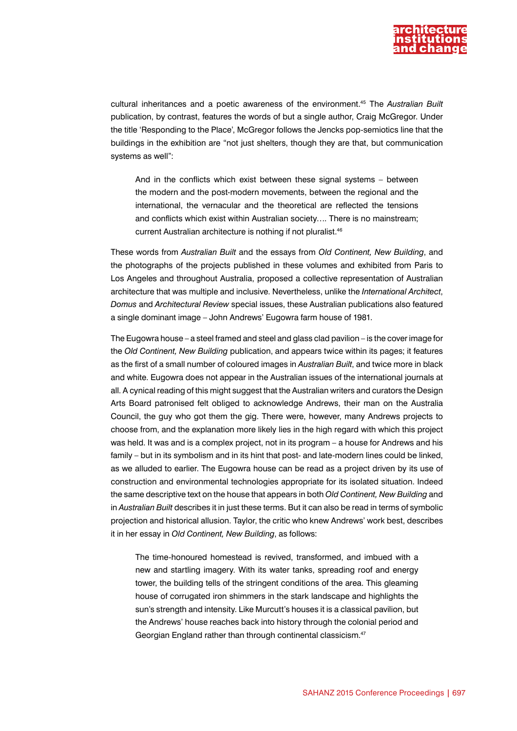

cultural inheritances and a poetic awareness of the environment.45 The *Australian Built* publication, by contrast, features the words of but a single author, Craig McGregor. Under the title 'Responding to the Place', McGregor follows the Jencks pop-semiotics line that the buildings in the exhibition are "not just shelters, though they are that, but communication systems as well":

And in the conflicts which exist between these signal systems – between the modern and the post-modern movements, between the regional and the international, the vernacular and the theoretical are reflected the tensions and conflicts which exist within Australian society…. There is no mainstream; current Australian architecture is nothing if not pluralist.<sup>46</sup>

These words from *Australian Built* and the essays from *Old Continent, New Building*, and the photographs of the projects published in these volumes and exhibited from Paris to Los Angeles and throughout Australia, proposed a collective representation of Australian architecture that was multiple and inclusive. Nevertheless, unlike the *International Architect*, *Domus* and *Architectural Review* special issues, these Australian publications also featured a single dominant image – John Andrews' Eugowra farm house of 1981.

The Eugowra house – a steel framed and steel and glass clad pavilion – is the cover image for the *Old Continent, New Building* publication, and appears twice within its pages; it features as the first of a small number of coloured images in *Australian Built*, and twice more in black and white. Eugowra does not appear in the Australian issues of the international journals at all. A cynical reading of this might suggest that the Australian writers and curators the Design Arts Board patronised felt obliged to acknowledge Andrews, their man on the Australia Council, the guy who got them the gig. There were, however, many Andrews projects to choose from, and the explanation more likely lies in the high regard with which this project was held. It was and is a complex project, not in its program – a house for Andrews and his family – but in its symbolism and in its hint that post- and late-modern lines could be linked, as we alluded to earlier. The Eugowra house can be read as a project driven by its use of construction and environmental technologies appropriate for its isolated situation. Indeed the same descriptive text on the house that appears in both *Old Continent, New Building* and in *Australian Built* describes it in just these terms. But it can also be read in terms of symbolic projection and historical allusion. Taylor, the critic who knew Andrews' work best, describes it in her essay in *Old Continent, New Building*, as follows:

The time-honoured homestead is revived, transformed, and imbued with a new and startling imagery. With its water tanks, spreading roof and energy tower, the building tells of the stringent conditions of the area. This gleaming house of corrugated iron shimmers in the stark landscape and highlights the sun's strength and intensity. Like Murcutt's houses it is a classical pavilion, but the Andrews' house reaches back into history through the colonial period and Georgian England rather than through continental classicism.47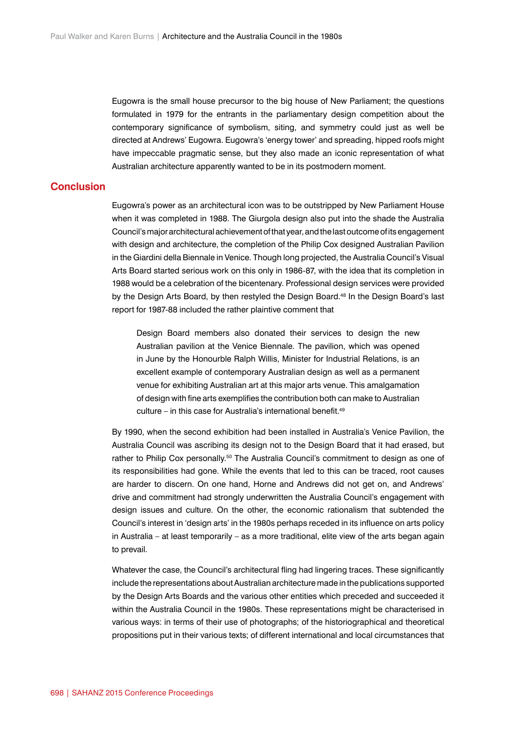Eugowra is the small house precursor to the big house of New Parliament; the questions formulated in 1979 for the entrants in the parliamentary design competition about the contemporary significance of symbolism, siting, and symmetry could just as well be directed at Andrews' Eugowra. Eugowra's 'energy tower' and spreading, hipped roofs might have impeccable pragmatic sense, but they also made an iconic representation of what Australian architecture apparently wanted to be in its postmodern moment.

### **Conclusion**

Eugowra's power as an architectural icon was to be outstripped by New Parliament House when it was completed in 1988. The Giurgola design also put into the shade the Australia Council's major architectural achievement of that year, and the last outcome of its engagement with design and architecture, the completion of the Philip Cox designed Australian Pavilion in the Giardini della Biennale in Venice. Though long projected, the Australia Council's Visual Arts Board started serious work on this only in 1986-87, with the idea that its completion in 1988 would be a celebration of the bicentenary. Professional design services were provided by the Design Arts Board, by then restyled the Design Board.<sup>48</sup> In the Design Board's last report for 1987-88 included the rather plaintive comment that

Design Board members also donated their services to design the new Australian pavilion at the Venice Biennale. The pavilion, which was opened in June by the Honourble Ralph Willis, Minister for Industrial Relations, is an excellent example of contemporary Australian design as well as a permanent venue for exhibiting Australian art at this major arts venue. This amalgamation of design with fine arts exemplifies the contribution both can make to Australian culture – in this case for Australia's international benefit.<sup>49</sup>

By 1990, when the second exhibition had been installed in Australia's Venice Pavilion, the Australia Council was ascribing its design not to the Design Board that it had erased, but rather to Philip Cox personally.<sup>50</sup> The Australia Council's commitment to design as one of its responsibilities had gone. While the events that led to this can be traced, root causes are harder to discern. On one hand, Horne and Andrews did not get on, and Andrews' drive and commitment had strongly underwritten the Australia Council's engagement with design issues and culture. On the other, the economic rationalism that subtended the Council's interest in 'design arts' in the 1980s perhaps receded in its influence on arts policy in Australia – at least temporarily – as a more traditional, elite view of the arts began again to prevail.

Whatever the case, the Council's architectural fling had lingering traces. These significantly include the representations about Australian architecture made in the publications supported by the Design Arts Boards and the various other entities which preceded and succeeded it within the Australia Council in the 1980s. These representations might be characterised in various ways: in terms of their use of photographs; of the historiographical and theoretical propositions put in their various texts; of different international and local circumstances that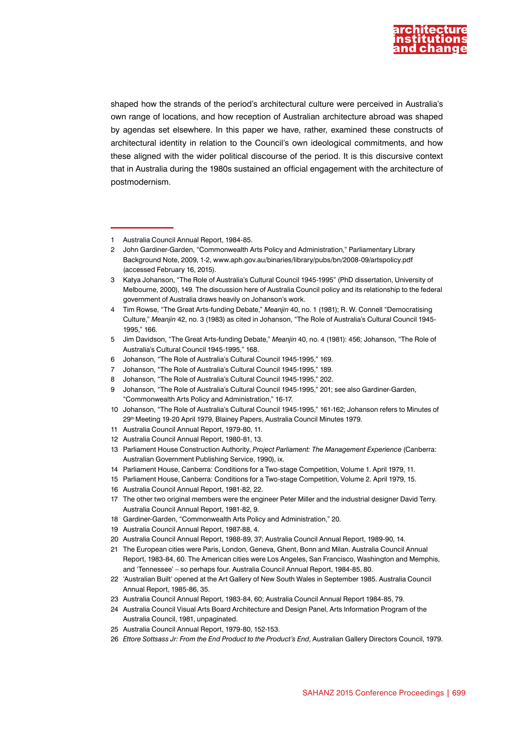

shaped how the strands of the period's architectural culture were perceived in Australia's own range of locations, and how reception of Australian architecture abroad was shaped by agendas set elsewhere. In this paper we have, rather, examined these constructs of architectural identity in relation to the Council's own ideological commitments, and how these aligned with the wider political discourse of the period. It is this discursive context that in Australia during the 1980s sustained an official engagement with the architecture of postmodernism.

- 8 Johanson, "The Role of Australia's Cultural Council 1945-1995," 202.
- 9 Johanson, "The Role of Australia's Cultural Council 1945-1995," 201; see also Gardiner-Garden, "Commonwealth Arts Policy and Administration," 16-17.
- 10 Johanson, "The Role of Australia's Cultural Council 1945-1995," 161-162; Johanson refers to Minutes of 29th Meeting 19-20 April 1979, Blainey Papers, Australia Council Minutes 1979.
- 11 Australia Council Annual Report, 1979-80, 11.
- 12 Australia Council Annual Report, 1980-81, 13.
- 13 Parliament House Construction Authority, *Project Parliament: The Management Experience* (Canberra: Australian Government Publishing Service, 1990), ix.
- 14 Parliament House, Canberra: Conditions for a Two-stage Competition, Volume 1. April 1979, 11.
- 15 Parliament House, Canberra: Conditions for a Two-stage Competition, Volume 2. April 1979, 15.
- 16 Australia Council Annual Report, 1981-82, 22.
- 17 The other two original members were the engineer Peter Miller and the industrial designer David Terry. Australia Council Annual Report, 1981-82, 9.
- 18 Gardiner-Garden, "Commonwealth Arts Policy and Administration," 20.
- 19 Australia Council Annual Report, 1987-88, 4.
- 20 Australia Council Annual Report, 1988-89, 37; Australia Council Annual Report, 1989-90, 14.
- 21 The European cities were Paris, London, Geneva, Ghent, Bonn and Milan. Australia Council Annual Report, 1983-84, 60. The American cities were Los Angeles, San Francisco, Washington and Memphis, and 'Tennessee' – so perhaps four. Australia Council Annual Report, 1984-85, 80.
- 22 'Australian Built' opened at the Art Gallery of New South Wales in September 1985. Australia Council Annual Report, 1985-86, 35.
- 23 Australia Council Annual Report, 1983-84, 60; Australia Council Annual Report 1984-85, 79.
- 24 Australia Council Visual Arts Board Architecture and Design Panel, Arts Information Program of the Australia Council, 1981, unpaginated.
- 25 Australia Council Annual Report, 1979-80, 152-153.
- 26 *Ettore Sottsass Jr: From the End Product to the Product's End*, Australian Gallery Directors Council, 1979.

<sup>1</sup> Australia Council Annual Report, 1984-85.

<sup>2</sup> John Gardiner-Garden, "Commonwealth Arts Policy and Administration," Parliamentary Library Background Note, 2009, 1-2, [www.aph.gov.au/binaries/library/pubs/bn/2008-09/artspolicy.pdf](http://www.aph.gov.au/binaries/library/pubs/bn/2008-09/artspolicy.pdf) (accessed February 16, 2015).

<sup>3</sup> Katya Johanson, "The Role of Australia's Cultural Council 1945-1995" (PhD dissertation, University of Melbourne, 2000), 149. The discussion here of Australia Council policy and its relationship to the federal government of Australia draws heavily on Johanson's work.

<sup>4</sup> Tim Rowse, "The Great Arts-funding Debate," *Meanjin* 40, no. 1 (1981); R. W. Connell "Democratising Culture," *Meanjin* 42, no. 3 (1983) as cited in Johanson, "The Role of Australia's Cultural Council 1945- 1995," 166.

<sup>5</sup> Jim Davidson, "The Great Arts-funding Debate," *Meanjin* 40, no. 4 (1981): 456; Johanson, "The Role of Australia's Cultural Council 1945-1995 " 168.

<sup>6</sup> Johanson, "The Role of Australia's Cultural Council 1945-1995," 169.

<sup>7</sup> Johanson, "The Role of Australia's Cultural Council 1945-1995," 189.